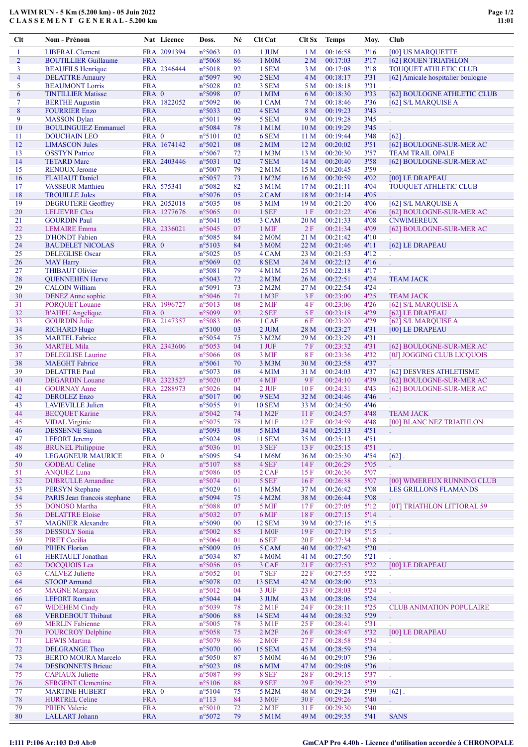## LA WIM RUN - 5 Km (5.200 km) - 05 Juin 2022 C L A S S E M E N T G E N E R A L - 5.200 km

| Clt            | Nom - Prénom                                   |                          | Nat Licence | Doss.                     | Né       | Clt Cat                | Clt Sx          | <b>Temps</b>         | Moy.         | Club                                         |
|----------------|------------------------------------------------|--------------------------|-------------|---------------------------|----------|------------------------|-----------------|----------------------|--------------|----------------------------------------------|
| 1              | <b>LIBERAL Clement</b>                         |                          | FRA 2091394 | n°5063                    | 03       | 1 JUM                  | 1 <sub>M</sub>  | 00:16:58             | 3'16         | [00] US MARQUETTE                            |
| $\overline{2}$ | <b>BOUTILLIER Guillaume</b>                    | <b>FRA</b>               |             | n°5068                    | 86       | 1 M0M                  | 2 <sub>M</sub>  | 00:17:03             | 3'17         | [62] ROUEN TRIATHLON                         |
| 3              | <b>BEAUFILS Henrique</b>                       |                          | FRA 2346444 | n°5018                    | 92       | 1 SEM                  | 3 M             | 00:17:08             | 3'18         | TOUQUET ATHLETIC CLUB                        |
| $\overline{4}$ | <b>DELATTRE Amaury</b>                         | <b>FRA</b>               |             | n°5097                    | 90       | 2 SEM                  | 4M              | 00:18:17             | 3'31         | [62] Amicale hospitalier boulogne            |
| 5              | <b>BEAUMONT Lorris</b>                         | <b>FRA</b>               |             | n°5028                    | 02       | 3 SEM                  | 5 M             | 00:18:18             | 3'31         |                                              |
| 6              | <b>TINTILLIER Matisse</b>                      | FRA 0                    |             | n°5098                    | 07       | 1 MIM                  | 6 M             | 00:18:30             | 3'33         | [62] BOULOGNE ATHLETIC CLUB                  |
| 7              | <b>BERTHE Augustin</b>                         |                          | FRA 1822052 | n°5092                    | 06       | 1 CAM                  | 7 M             | 00:18:46             | 3'36         | [62] S/L MARQUISE A                          |
| 8              | <b>FOURRIER Enzo</b>                           | <b>FRA</b>               |             | n°5033                    | 02       | 4 SEM                  | 8 M             | 00:19:23             | 3'43         |                                              |
| 9              | <b>MASSON</b> Dylan                            | <b>FRA</b>               |             | $n^{\circ}5011$           | 99       | 5 SEM                  | 9 M             | 00:19:28             | 3'45         | V.                                           |
| 10             | <b>BOULINGUIEZ Emmanuel</b>                    | <b>FRA</b>               |             | n°5084                    | 78       | 1 M1M                  | 10 <sub>M</sub> | 00:19:29             | 3'45         |                                              |
| 11             | <b>DOUCHAIN LEO</b>                            | FRA 0                    |             | $n^{\circ}5101$           | 02       | 6 SEM                  | 11 <sub>M</sub> | 00:19:44             | 3'48         | $[62]$ .                                     |
| 12             | <b>LIMASCON Jules</b>                          |                          | FRA 1674142 | n°5021                    | 08       | $2$ MIM                | 12M             | 00:20:02             | 3'51         | [62] BOULOGNE-SUR-MER AC                     |
| 13             | <b>OSSTYN Patrice</b>                          | <b>FRA</b>               |             | n°5067                    | 72       | 1 M <sub>3</sub> M     | 13 <sub>M</sub> | 00:20:30             | 3'57         | <b>TEAM TRAIL OPALE</b>                      |
| 14             | <b>TETARD Marc</b>                             |                          | FRA 2403446 | n°5031                    | 02       | 7 SEM                  | 14M             | 00:20:40             | 3'58         | [62] BOULOGNE-SUR-MER AC                     |
| 15             | <b>RENOUX Jerome</b>                           | <b>FRA</b>               |             | n°5007                    | 79       | $2$ M $1$ M            | 15 M            | 00:20:45             | 3'59         |                                              |
| 16             | <b>FLAHAUT</b> Daniel                          | <b>FRA</b>               |             | n°5057                    | 73       | 1 M2M                  | 16 <sub>M</sub> | 00:20:59             | 4'02         | [00] LE DRAPEAU                              |
| 17             | <b>VASSEUR</b> Matthieu                        |                          | FRA 575341  | n°5082                    | 82       | 3 M1M                  | 17 <sub>M</sub> | 00:21:11             | 4'04         | <b>TOUQUET ATHLETIC CLUB</b>                 |
| 18             | <b>TROUILLE Jules</b>                          | <b>FRA</b>               |             | $n^{\circ}5076$           | 05       | 2 CAM                  | 18 M            | 00:21:14             | 4'05         |                                              |
| 19             | <b>DEGRUTERE Geoffrey</b>                      |                          | FRA 2052018 | n°5035                    | 08       | 3 MIM                  | 19 <sub>M</sub> | 00:21:20             | 4'06         | [62] S/L MARQUISE A                          |
| 20             | <b>LELIEVRE</b> Clea                           |                          | FRA 1277676 | $n^{\circ}5065$           | 01       | 1 SEF                  | -1 F            | 00:21:22             | 4'06         | [62] BOULOGNE-SUR-MER AC                     |
| 21             | <b>GOURDIN Paul</b>                            | <b>FRA</b>               |             | $n^{\circ}5041$           | 05       | 3 CAM                  | 20 <sub>M</sub> | 00:21:33             | 4'08         | <b>CNWIMEREUX</b>                            |
| 22             | <b>LEMAIRE</b> Emma                            |                          | FRA 2336021 | n°5045                    | 07       | 1 MIF                  | 2F              | 00:21:34             | 4'09         | [62] BOULOGNE-SUR-MER AC                     |
| 23             | <b>D'HONDT</b> Fabien                          | <b>FRA</b>               |             | n°5085                    | 84       | 2 M0M                  | 21 M            | 00:21:42             | 4'10         |                                              |
| 24             | <b>BAUDELET NICOLAS</b>                        | FRA 0                    |             | $n^{\circ}5103$           | 84       | 3 M0M                  | 22 M            | 00:21:46             | 4'11         | [62] LE DRAPEAU                              |
| 25             | <b>DELEGLISE</b> Oscar                         | <b>FRA</b>               |             | n°5025                    | 05       | 4 CAM                  | 23 M            | 00:21:53             | 4'12         | t,                                           |
| 26             | <b>MAY Harry</b>                               | <b>FRA</b>               |             | n°5069                    | 02       | 8 SEM                  | 24 M            | 00:22:12             | 4'16         | $\mathbb{Z}^2$                               |
| 27             | <b>THIBAUT Olivier</b>                         | <b>FRA</b>               |             | $n^{\circ}5081$           | 79       | 4 M1M                  | 25 M            | 00:22:18             | 4'17         |                                              |
| 28             | <b>QUENNEHEN Herve</b>                         | <b>FRA</b>               |             | n°5043                    | 72       | $2$ M $3M$             | 26 M            | 00:22:51             | 4'24         | <b>TEAM JACK</b>                             |
| 29             | <b>CALOIN William</b>                          | <b>FRA</b>               |             | n°5091                    | 73       | 2 M2M                  | 27 M            | 00:22:54             | 4'24         |                                              |
| 30             | <b>DENEZ</b> Anne sophie                       | <b>FRA</b>               |             | n°5046                    | 71       | 1 M3F                  | 3F              | 00:23:00             | 4'25         | <b>TEAM JACK</b>                             |
| 31             | <b>PORQUET Louane</b>                          |                          | FRA 1996727 | n°5013                    | 08       | 2 MIF                  | 4F              | 00:23:06             | 4'26         | [62] S/L MARQUISE A                          |
| 32             | <b>B'AHEU</b> Angelique                        | FRA 0                    |             | n°5099                    | 92       | 2 SEF                  | 5 F             | 00:23:18             | 4'29         | [62] LE DRAPEAU                              |
| 33             | <b>GOURDIN Julie</b>                           |                          | FRA 2147357 | n°5083                    | 06       | 1 CAF                  | 6 F             | 00:23:20             | 4'29         | [62] S/L MARQUISE A                          |
| 34             | <b>RICHARD Hugo</b>                            | <b>FRA</b>               |             | $n^{\circ}5100$           | 03       | 2 JUM                  | 28 M            | 00:23:27             | 4'31         | [00] LE DRAPEAU                              |
| 35             | <b>MARTEL Fabrice</b>                          | <b>FRA</b>               |             | n°5054                    | 75       | 3 M2M                  | 29 M            | 00:23:29             | 4'31         |                                              |
| 36             | <b>MARTEL Mila</b>                             |                          | FRA 2343606 | n°5053                    | 04       | 1 JUF                  | 7 F             | 00:23:32             | 4'31         | [62] BOULOGNE-SUR-MER AC                     |
| 37             | <b>DELEGLISE</b> Laurine                       | <b>FRA</b>               |             | n°5066                    | 08       | 3 MIF                  | 8F              | 00:23:36             | 4'32         | [0J] JOGGING CLUB LICQUOIS                   |
| 38             | <b>MAEGHT</b> Fabrice                          | <b>FRA</b>               |             | $n^{\circ}5061$           | 70       | 3 M3M                  | 30 M            | 00:23:58             | 4'37         |                                              |
| 39             | <b>DELATTRE Paul</b>                           | <b>FRA</b>               |             | n°5073                    | 08       | 4 MIM                  | 31 M            | 00:24:03             | 4'37         | [62] DESVRES ATHLETISME                      |
| 40             | <b>DEGARDIN</b> Louane                         |                          | FRA 2323527 | $n^{\circ}5020$           | 07       | 4 MIF                  | 9 F             | 00:24:10             | 4'39         | [62] BOULOGNE-SUR-MER AC                     |
| 41             | <b>GOURNAY Anne</b>                            |                          | FRA 2288973 | $n^{\circ}5026$           | 04       | $2$ JUF                | 10F             | 00:24:31             | 4'43         | [62] BOULOGNE-SUR-MER AC                     |
| 42             | <b>DEROLEZ Enzo</b>                            | <b>FRA</b>               |             | n°5017                    | 00       | 9 SEM                  | 32 M            | 00:24:46             | 4'46         | $\mathcal{L}^{\mathcal{A}}$                  |
| 43             | <b>LAVIEVILLE Julien</b>                       | <b>FRA</b>               |             | n°5055                    | 91       | <b>10 SEM</b>          | 33 M            | 00:24:50             | 4'46         |                                              |
| 44             | <b>BECQUET Karine</b>                          | <b>FRA</b>               |             | n°5042                    | 74<br>78 | 1 M <sub>2</sub> F     | 11F             | 00:24:57             | 4'48         | <b>TEAM JACK</b><br>[00] BLANC NEZ TRIATHLON |
| 45             | <b>VIDAL</b> Virginie<br><b>DESSENNE Simon</b> | <b>FRA</b>               |             | n°5075                    |          | $1$ M $1$ F            | 12F             | 00:24:59             | 4'48         |                                              |
| 46<br>47       | <b>LEFORT</b> Jeremy                           | <b>FRA</b><br><b>FRA</b> |             | n°5093<br>n°5024          | 08<br>98 | 5 MIM<br><b>11 SEM</b> | 34 M<br>35 M    | 00:25:13<br>00:25:13 | 4'51<br>4'51 | $\sim 10^{-1}$                               |
| 48             | <b>BRUNEL Philippine</b>                       | <b>FRA</b>               |             | $n^{\circ}5036$           | 01       | 3 SEF                  | 13 F            | 00:25:15             | 4'51         | $\mathbf{r}$                                 |
| 49             | <b>LEGAGNEUR MAURICE</b>                       | FRA 0                    |             | n°5095                    | 54       | 1 M6M                  | 36 M            | 00:25:30             | 4'54         | $[62]$ .                                     |
| 50             | <b>GODEAU</b> Celine                           | <b>FRA</b>               |             | n°5107                    | 88       | 4 SEF                  | 14F             | 00:26:29             | 5'05         |                                              |
| 51             | <b>ANQUEZ Luna</b>                             | <b>FRA</b>               |             | n°5086                    | 05       | 2 CAF                  | 15F             | 00:26:36             | 5'07         | ¥.<br>$\mathbf{r}$                           |
| 52             | <b>DUBRULLE Amandine</b>                       | <b>FRA</b>               |             | n°5074                    | 01       | 5 SEF                  | 16F             | 00:26:38             | 5'07         | [00] WIMEREUX RUNNING CLUB                   |
| 53             | <b>PERSYN</b> Stephane                         | <b>FRA</b>               |             | n°5029                    | 61       | 1 M5M                  | 37 M            | 00:26:42             | 5'08         | <b>LES GRILLONS FLAMANDS</b>                 |
| 54             | PARIS Jean francois stephane                   | <b>FRA</b>               |             | n°5094                    | 75       | 4 M2M                  | 38 M            | 00:26:44             | 5'08         |                                              |
| 55             | <b>DONOSO</b> Martha                           | <b>FRA</b>               |             | n°5088                    | 07       | 5 MIF                  | 17F             | 00:27:05             | 5'12         | [0T] TRIATHLON LITTORAL 59                   |
| 56             | <b>DELATTRE Eloise</b>                         | <b>FRA</b>               |             | n°5032                    | 07       | 6 MIF                  | 18F             | 00:27:15             | 5'14         |                                              |
| 57             | <b>MAGNIER Alexandre</b>                       | <b>FRA</b>               |             | n°5090                    | 00       | 12 SEM                 | 39 M            | 00:27:16             | 5'15         | $\mathbf{r}$                                 |
| 58             | <b>DESSOLY</b> Sonia                           | <b>FRA</b>               |             | $n^{\circ}5002$           | 85       | $1$ MOF                | 19F             | 00:27:19             | 5'15         |                                              |
| 59             | <b>PIRET Cecilia</b>                           | <b>FRA</b>               |             | n°5064                    | 01       | 6 SEF                  | 20F             | 00:27:34             | 5'18         | ¥.                                           |
| 60             | <b>PIHEN Florian</b>                           | <b>FRA</b>               |             | n°5009                    | 05       | 5 CAM                  | 40 M            | 00:27:42             | 5'20         |                                              |
| 61             | <b>HERTAULT</b> Jonathan                       | <b>FRA</b>               |             | n°5034                    | 87       | 4 M <sub>0</sub> M     | 41 M            | 00:27:50             | 5'21         | t.                                           |
| 62             | <b>DOCQUOIS</b> Lea                            | <b>FRA</b>               |             | n°5056                    | 05       | 3 CAF                  | 21F             | 00:27:53             | 5'22         | [00] LE DRAPEAU                              |
| 63             | <b>CALVEZ</b> Juliette                         | <b>FRA</b>               |             | n°5052                    | 01       | 7 SEF                  | 22F             | 00:27:55             | 5'22         | $\mathcal{L}$                                |
| 64             | <b>STOOP Armand</b>                            | <b>FRA</b>               |             | n°5078                    | 02       | <b>13 SEM</b>          | 42 M            | 00:28:00             | 5'23         | ä,                                           |
| 65             | <b>MAGNE Margaux</b>                           | <b>FRA</b>               |             | n°5012                    | 04       | 3 JUF                  | 23 F            | 00:28:03             | 5'24         | $\mathcal{L}$                                |
| 66             | <b>LEFORT Romain</b>                           | <b>FRA</b>               |             | n°5044                    | 04       | 3 JUM                  | 43 M            | 00:28:06             | 5'24         |                                              |
| 67             | <b>WIDEHEM Cindy</b>                           | <b>FRA</b>               |             | n°5039                    | 78       | $2$ M <sub>1</sub> $F$ | 24 F            | 00:28:11             | 5'25         | <b>CLUB ANIMATION POPULAIRE</b>              |
| 68             | <b>VERDEBOUT Thibaut</b>                       | <b>FRA</b>               |             | n°5006                    | 88       | 14 SEM                 | 44 M            | 00:28:32             | 5'29         | $\mathcal{L}^{\pm}$                          |
| 69             | <b>MERLIN</b> Fabienne                         | <b>FRA</b>               |             | n°5005                    | 78       | 3 M1F                  | 25F             | 00:28:41             | 5'31         |                                              |
| 70             | <b>FOURCROY Delphine</b>                       | <b>FRA</b>               |             | n°5058                    | 75       | 2 M <sub>2</sub> F     | 26F             | 00:28:47             | 5'32         | [00] LE DRAPEAU                              |
| 71             | <b>LEWIS Martina</b>                           | <b>FRA</b>               |             | n°5079                    | 86       | 2 M <sub>OF</sub>      | 27F             | 00:28:58             | 5'34         | ¥.                                           |
| 72             | <b>DELGRANGE Theo</b>                          | <b>FRA</b>               |             | n°5070                    | $00\,$   | 15 SEM                 | 45 M            | 00:28:59             | 5'34         |                                              |
| 73             | <b>BERTO MOURA Marcelo</b>                     | <b>FRA</b>               |             | $n^{\circ}5050$           | 87       | 5 M0M                  | 46 M            | 00:29:07             | 5'36         | t.                                           |
| 74             | <b>DESBONNETS Brieuc</b>                       | <b>FRA</b>               |             | n°5023                    | 08       | 6 MIM                  | 47 M            | 00:29:08             | 5'36         | $\mathbf{r}$                                 |
| 75             | <b>CAPIAUX</b> Juliette                        | <b>FRA</b>               |             | n°5087                    | 99       | 8 SEF                  | 28F             | 00:29:15             | 5'37         | ä,                                           |
| 76             | <b>SERGENT Clementine</b>                      | <b>FRA</b>               |             | n°5106                    | 88       | 9 SEF                  | 29F             | 00:29:22             | 5'39         |                                              |
| 77             | <b>MARTINE HUBERT</b>                          | FRA 0                    |             | n°5104                    | 75       | 5 M2M                  | 48 M            | 00:29:24             | 5'39         | $[62]$ .                                     |
| 78<br>79       | <b>HURTREL Celine</b>                          | <b>FRA</b>               |             | $n^{\circ}113$            | 84       | 3 M <sub>OF</sub>      | 30F             | 00:29:26             | 5'40         | $\mathcal{L}^{\pm}$                          |
| 80             | <b>PIHEN Valerie</b><br><b>LALLART</b> Johann  | <b>FRA</b>               |             | $n^{\circ}5010$<br>n°5072 | 72<br>79 | $2$ M $3F$             | 31 F<br>49 M    | 00:29:30<br>00:29:35 | 5'40<br>5'41 | <b>SANS</b>                                  |
|                |                                                | <b>FRA</b>               |             |                           |          | 5 M1M                  |                 |                      |              |                                              |

## I:111 P:106 Ar:103 D:0 Ab:0 GmCAP Pro 4.40h - Licence d'utilisation accordée à CHRONOPALE